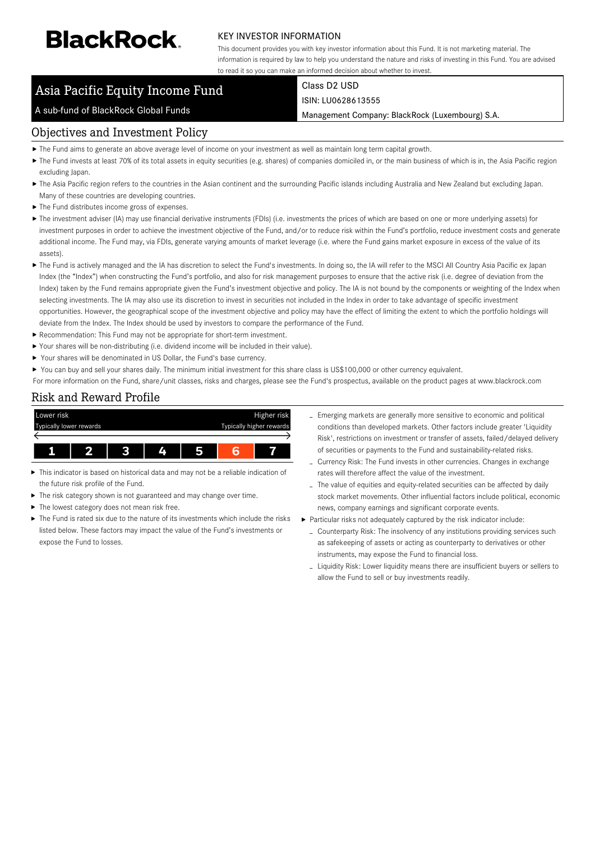# **BlackRock**

### KEY INVESTOR INFORMATION

This document provides you with key investor information about this Fund. It is not marketing material. The information is required by law to help you understand the nature and risks of investing in this Fund. You are advised to read it so you can make an informed decision about whether to invest.

## Asia Pacific Equity Income Fund

#### A sub-fund of BlackRock Global Funds

Class D2 USD ISIN: LU0628613555

Management Company: BlackRock (Luxembourg) S.A.

## Objectives and Investment Policy

- The Fund aims to generate an above average level of income on your investment as well as maintain long term capital growth.
- ▶ The Fund invests at least 70% of its total assets in equity securities (e.g. shares) of companies domiciled in, or the main business of which is in, the Asia Pacific region excluding Japan.
- ▶ The Asia Pacific region refers to the countries in the Asian continent and the surrounding Pacific islands including Australia and New Zealand but excluding Japan. Many of these countries are developing countries.
- $\blacktriangleright$  The Fund distributes income gross of expenses.
- ▶ The investment adviser (IA) may use financial derivative instruments (FDIs) (i.e. investments the prices of which are based on one or more underlying assets) for investment purposes in order to achieve the investment objective of the Fund, and/or to reduce risk within the Fund's portfolio, reduce investment costs and generate additional income. The Fund may, via FDIs, generate varying amounts of market leverage (i.e. where the Fund gains market exposure in excess of the value of its assets).
- ▶ The Fund is actively managed and the IA has discretion to select the Fund's investments. In doing so, the IA will refer to the MSCI All Country Asia Pacific ex Japan Index (the "Index") when constructing the Fund's portfolio, and also for risk management purposes to ensure that the active risk (i.e. degree of deviation from the Index) taken by the Fund remains appropriate given the Fund's investment objective and policy. The IA is not bound by the components or weighting of the Index when selecting investments. The IA may also use its discretion to invest in securities not included in the Index in order to take advantage of specific investment opportunities. However, the geographical scope of the investment objective and policy may have the effect of limiting the extent to which the portfolio holdings will deviate from the Index. The Index should be used by investors to compare the performance of the Fund.
- Recommendation: This Fund may not be appropriate for short-term investment.
- Your shares will be non-distributing (i.e. dividend income will be included in their value).
- Your shares will be denominated in US Dollar, the Fund's base currency.
- ▶ You can buy and sell your shares daily. The minimum initial investment for this share class is US\$100,000 or other currency equivalent.
- For more information on the Fund, share/unit classes, risks and charges, please see the Fund's prospectus, available on the product pages at www.blackrock.com

## Risk and Reward Profile



- This indicator is based on historical data and may not be a reliable indication of the future risk profile of the Fund.
- × The risk category shown is not guaranteed and may change over time.
- The lowest category does not mean risk free.
- The Fund is rated six due to the nature of its investments which include the risks listed below. These factors may impact the value of the Fund's investments or expose the Fund to losses.
- Emerging markets are generally more sensitive to economic and political conditions than developed markets. Other factors include greater 'Liquidity Risk', restrictions on investment or transfer of assets, failed/delayed delivery of securities or payments to the Fund and sustainability-related risks.
- Currency Risk: The Fund invests in other currencies. Changes in exchange rates will therefore affect the value of the investment.
- The value of equities and equity-related securities can be affected by daily stock market movements. Other influential factors include political, economic news, company earnings and significant corporate events.
- Particular risks not adequately captured by the risk indicator include:
	- Counterparty Risk: The insolvency of any institutions providing services such as safekeeping of assets or acting as counterparty to derivatives or other instruments, may expose the Fund to financial loss.
	- Liquidity Risk: Lower liquidity means there are insufficient buyers or sellers to allow the Fund to sell or buy investments readily.